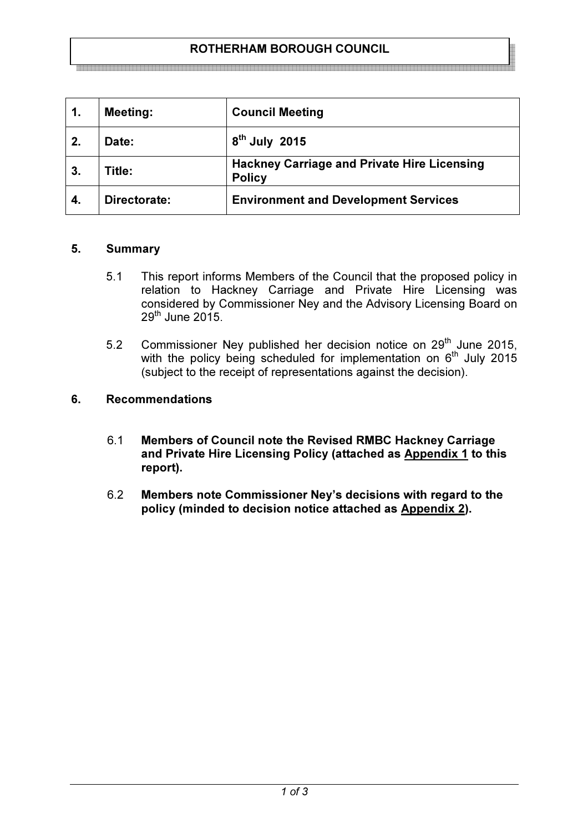## ROTHERHAM BOROUGH COUNCIL

| 1. | <b>Meeting:</b> | <b>Council Meeting</b>                                              |
|----|-----------------|---------------------------------------------------------------------|
| 2. | Date:           | $8th$ July 2015                                                     |
| 3. | Title:          | <b>Hackney Carriage and Private Hire Licensing</b><br><b>Policy</b> |
| 4. | Directorate:    | <b>Environment and Development Services</b>                         |

#### 5. Summary

- 5.1 This report informs Members of the Council that the proposed policy in relation to Hackney Carriage and Private Hire Licensing was considered by Commissioner Ney and the Advisory Licensing Board on  $29<sup>th</sup>$  June 2015.
- 5.2 Commissioner Ney published her decision notice on 29<sup>th</sup> June 2015, with the policy being scheduled for implementation on  $6<sup>th</sup>$  July 2015 (subject to the receipt of representations against the decision).

### 6. Recommendations

- 6.1 Members of Council note the Revised RMBC Hackney Carriage and Private Hire Licensing Policy (attached as Appendix 1 to this report).
- 6.2 Members note Commissioner Ney's decisions with regard to the policy (minded to decision notice attached as Appendix 2).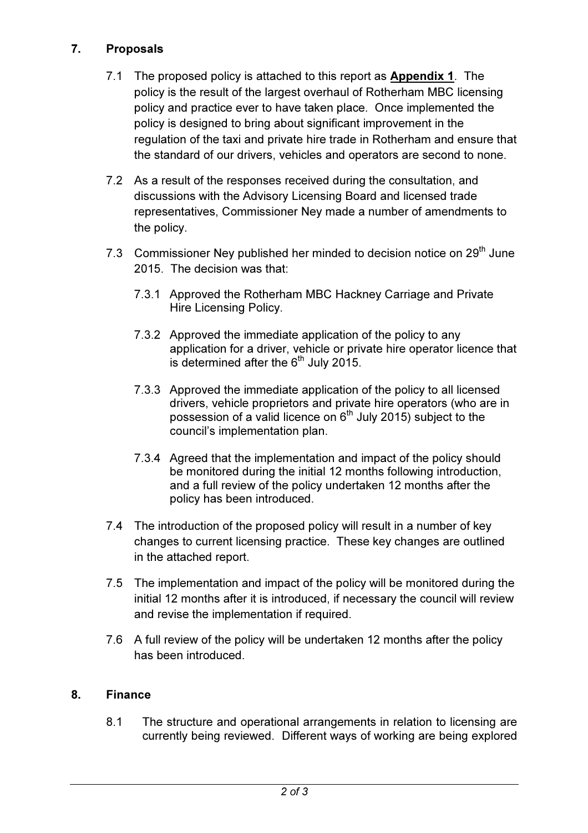# 7. Proposals

- 7.1 The proposed policy is attached to this report as **Appendix 1**. The policy is the result of the largest overhaul of Rotherham MBC licensing policy and practice ever to have taken place. Once implemented the policy is designed to bring about significant improvement in the regulation of the taxi and private hire trade in Rotherham and ensure that the standard of our drivers, vehicles and operators are second to none.
- 7.2 As a result of the responses received during the consultation, and discussions with the Advisory Licensing Board and licensed trade representatives, Commissioner Ney made a number of amendments to the policy.
- 7.3 Commissioner Ney published her minded to decision notice on 29<sup>th</sup> June 2015. The decision was that:
	- 7.3.1 Approved the Rotherham MBC Hackney Carriage and Private Hire Licensing Policy.
	- 7.3.2 Approved the immediate application of the policy to any application for a driver, vehicle or private hire operator licence that is determined after the  $6<sup>th</sup>$  July 2015.
	- 7.3.3 Approved the immediate application of the policy to all licensed drivers, vehicle proprietors and private hire operators (who are in possession of a valid licence on  $6<sup>th</sup>$  July 2015) subject to the council's implementation plan.
	- 7.3.4 Agreed that the implementation and impact of the policy should be monitored during the initial 12 months following introduction, and a full review of the policy undertaken 12 months after the policy has been introduced.
- 7.4 The introduction of the proposed policy will result in a number of key changes to current licensing practice. These key changes are outlined in the attached report.
- 7.5 The implementation and impact of the policy will be monitored during the initial 12 months after it is introduced, if necessary the council will review and revise the implementation if required.
- 7.6 A full review of the policy will be undertaken 12 months after the policy has been introduced.

# 8. Finance

8.1 The structure and operational arrangements in relation to licensing are currently being reviewed. Different ways of working are being explored